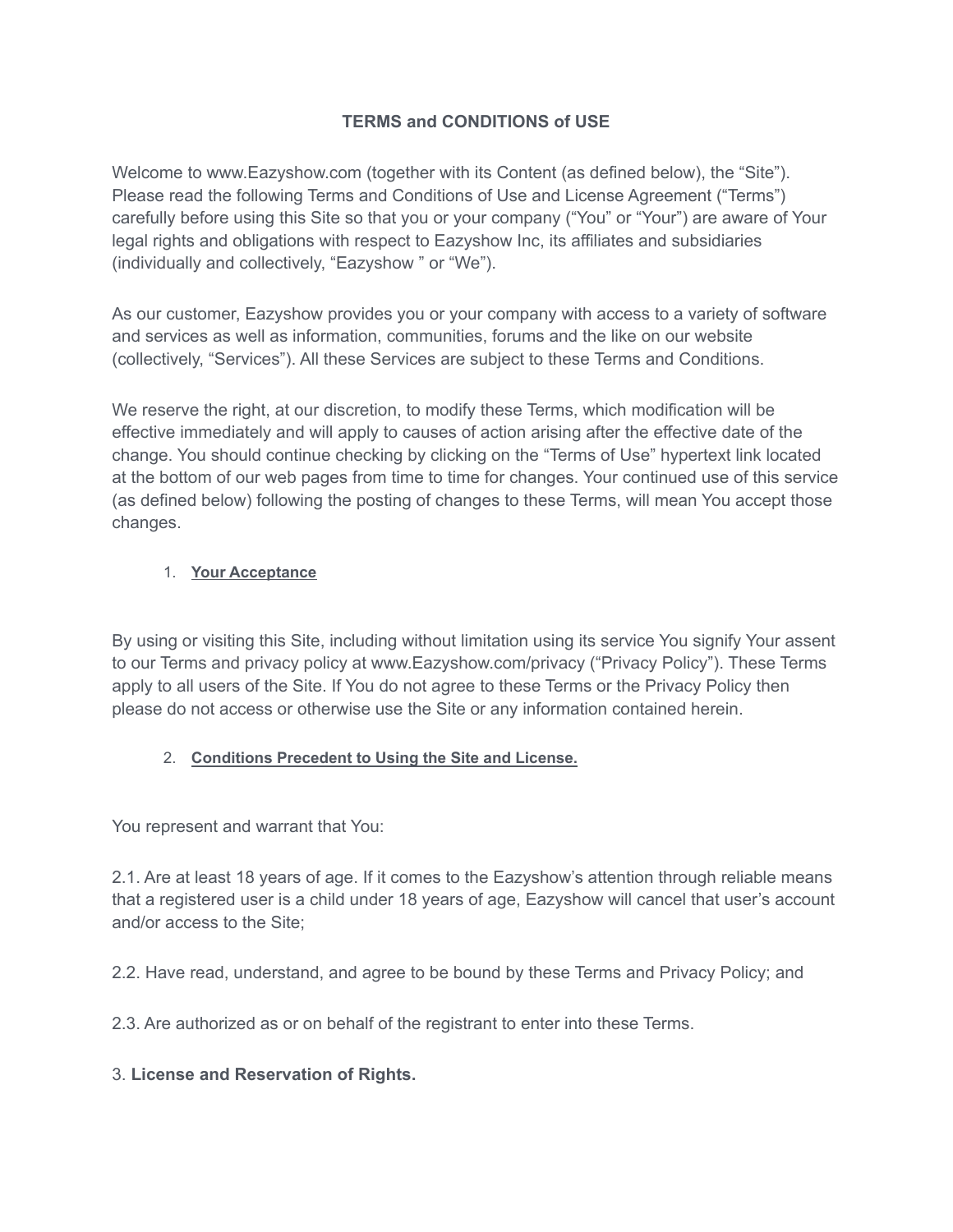## **TERMS and CONDITIONS of USE**

Welcome to www.Eazyshow.com (together with its Content (as defined below), the "Site"). Please read the following Terms and Conditions of Use and License Agreement ("Terms") carefully before using this Site so that you or your company ("You" or "Your") are aware of Your legal rights and obligations with respect to Eazyshow Inc, its affiliates and subsidiaries (individually and collectively, "Eazyshow " or "We").

As our customer, Eazyshow provides you or your company with access to a variety of software and services as well as information, communities, forums and the like on our website (collectively, "Services"). All these Services are subject to these Terms and Conditions.

We reserve the right, at our discretion, to modify these Terms, which modification will be effective immediately and will apply to causes of action arising after the effective date of the change. You should continue checking by clicking on the "Terms of Use" hypertext link located at the bottom of our web pages from time to time for changes. Your continued use of this service (as defined below) following the posting of changes to these Terms, will mean You accept those changes.

### 1. **Your Acceptance**

By using or visiting this Site, including without limitation using its service You signify Your assent to our Terms and privacy policy at www.Eazyshow.com/privacy ("Privacy Policy"). These Terms apply to all users of the Site. If You do not agree to these Terms or the Privacy Policy then please do not access or otherwise use the Site or any information contained herein.

### 2. **Conditions Precedent to Using the Site and License.**

You represent and warrant that You:

2.1. Are at least 18 years of age. If it comes to the Eazyshow's attention through reliable means that a registered user is a child under 18 years of age, Eazyshow will cancel that user's account and/or access to the Site;

2.2. Have read, understand, and agree to be bound by these Terms and Privacy Policy; and

2.3. Are authorized as or on behalf of the registrant to enter into these Terms.

### 3. **License and Reservation of Rights.**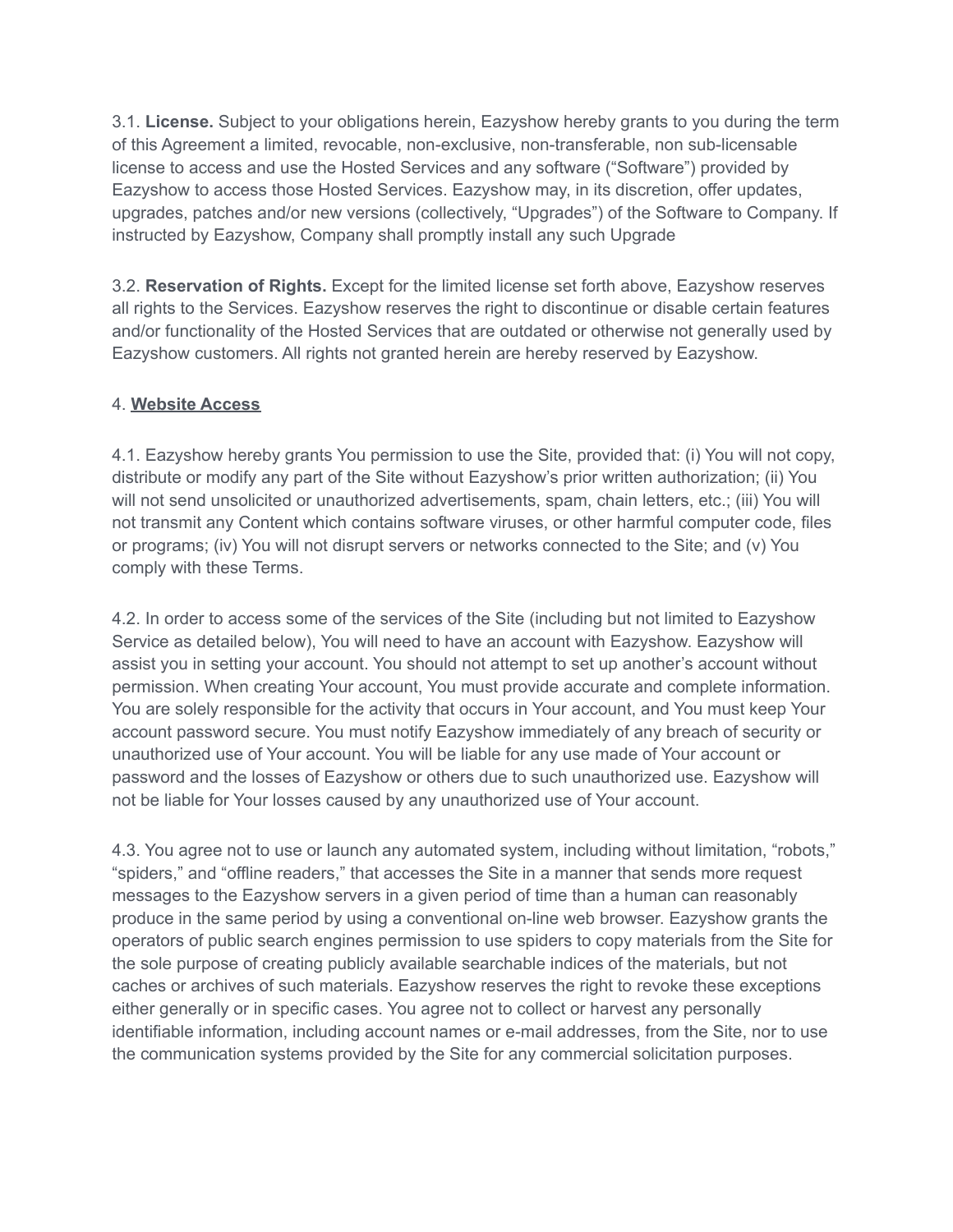3.1. **License.** Subject to your obligations herein, Eazyshow hereby grants to you during the term of this Agreement a limited, revocable, non-exclusive, non-transferable, non sub-licensable license to access and use the Hosted Services and any software ("Software") provided by Eazyshow to access those Hosted Services. Eazyshow may, in its discretion, offer updates, upgrades, patches and/or new versions (collectively, "Upgrades") of the Software to Company. If instructed by Eazyshow, Company shall promptly install any such Upgrade

3.2. **Reservation of Rights.** Except for the limited license set forth above, Eazyshow reserves all rights to the Services. Eazyshow reserves the right to discontinue or disable certain features and/or functionality of the Hosted Services that are outdated or otherwise not generally used by Eazyshow customers. All rights not granted herein are hereby reserved by Eazyshow.

### 4. **Website Access**

4.1. Eazyshow hereby grants You permission to use the Site, provided that: (i) You will not copy, distribute or modify any part of the Site without Eazyshow's prior written authorization; (ii) You will not send unsolicited or unauthorized advertisements, spam, chain letters, etc.; (iii) You will not transmit any Content which contains software viruses, or other harmful computer code, files or programs; (iv) You will not disrupt servers or networks connected to the Site; and (v) You comply with these Terms.

4.2. In order to access some of the services of the Site (including but not limited to Eazyshow Service as detailed below), You will need to have an account with Eazyshow. Eazyshow will assist you in setting your account. You should not attempt to set up another's account without permission. When creating Your account, You must provide accurate and complete information. You are solely responsible for the activity that occurs in Your account, and You must keep Your account password secure. You must notify Eazyshow immediately of any breach of security or unauthorized use of Your account. You will be liable for any use made of Your account or password and the losses of Eazyshow or others due to such unauthorized use. Eazyshow will not be liable for Your losses caused by any unauthorized use of Your account.

4.3. You agree not to use or launch any automated system, including without limitation, "robots," "spiders," and "offline readers," that accesses the Site in a manner that sends more request messages to the Eazyshow servers in a given period of time than a human can reasonably produce in the same period by using a conventional on-line web browser. Eazyshow grants the operators of public search engines permission to use spiders to copy materials from the Site for the sole purpose of creating publicly available searchable indices of the materials, but not caches or archives of such materials. Eazyshow reserves the right to revoke these exceptions either generally or in specific cases. You agree not to collect or harvest any personally identifiable information, including account names or e-mail addresses, from the Site, nor to use the communication systems provided by the Site for any commercial solicitation purposes.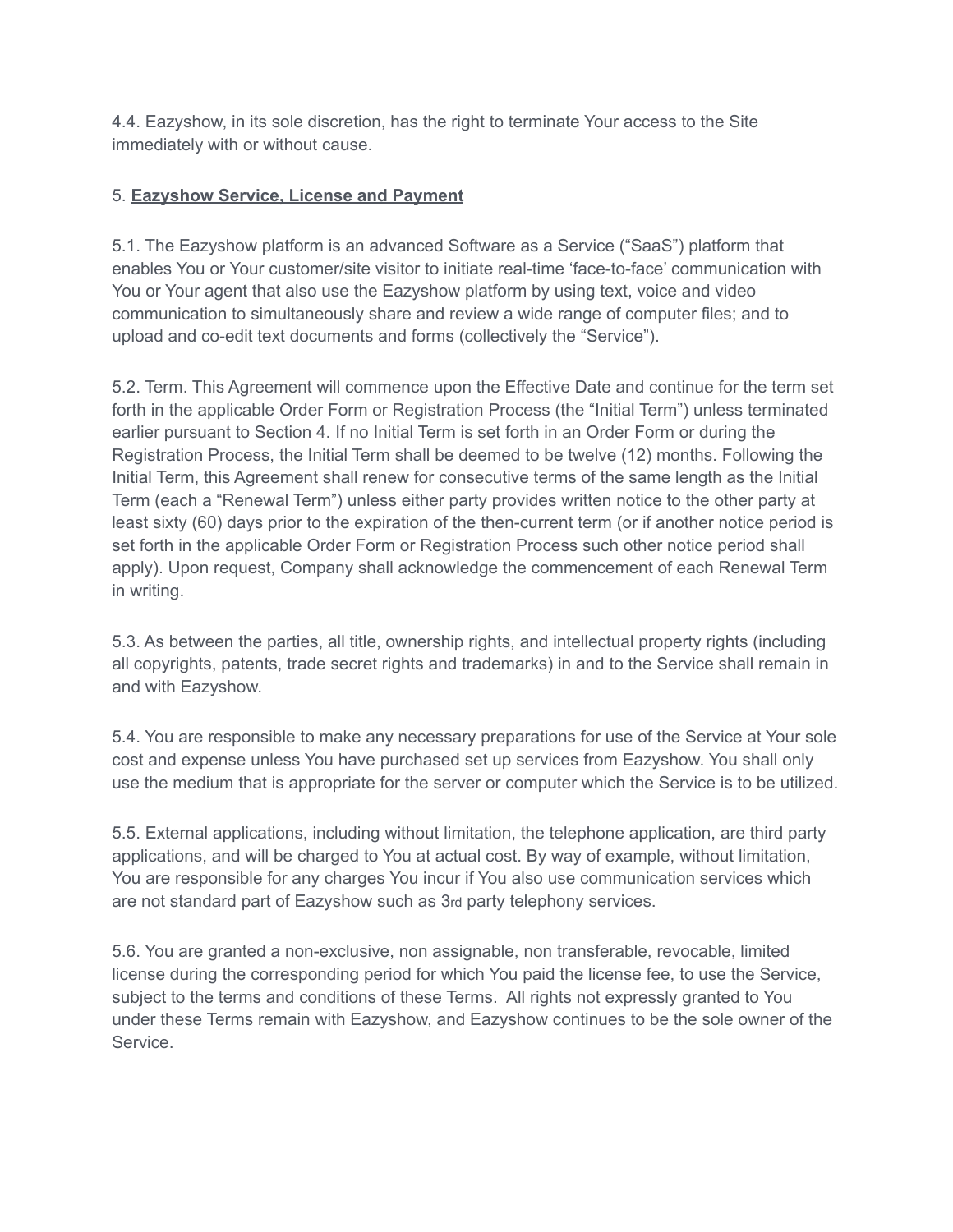4.4. Eazyshow, in its sole discretion, has the right to terminate Your access to the Site immediately with or without cause.

## 5. **Eazyshow Service, License and Payment**

5.1. The Eazyshow platform is an advanced Software as a Service ("SaaS") platform that enables You or Your customer/site visitor to initiate real-time 'face-to-face' communication with You or Your agent that also use the Eazyshow platform by using text, voice and video communication to simultaneously share and review a wide range of computer files; and to upload and co-edit text documents and forms (collectively the "Service").

5.2. Term. This Agreement will commence upon the Effective Date and continue for the term set forth in the applicable Order Form or Registration Process (the "Initial Term") unless terminated earlier pursuant to Section 4. If no Initial Term is set forth in an Order Form or during the Registration Process, the Initial Term shall be deemed to be twelve (12) months. Following the Initial Term, this Agreement shall renew for consecutive terms of the same length as the Initial Term (each a "Renewal Term") unless either party provides written notice to the other party at least sixty (60) days prior to the expiration of the then-current term (or if another notice period is set forth in the applicable Order Form or Registration Process such other notice period shall apply). Upon request, Company shall acknowledge the commencement of each Renewal Term in writing.

5.3. As between the parties, all title, ownership rights, and intellectual property rights (including all copyrights, patents, trade secret rights and trademarks) in and to the Service shall remain in and with Eazyshow.

5.4. You are responsible to make any necessary preparations for use of the Service at Your sole cost and expense unless You have purchased set up services from Eazyshow. You shall only use the medium that is appropriate for the server or computer which the Service is to be utilized.

5.5. External applications, including without limitation, the telephone application, are third party applications, and will be charged to You at actual cost. By way of example, without limitation, You are responsible for any charges You incur if You also use communication services which are not standard part of Eazyshow such as 3rd party telephony services.

5.6. You are granted a non-exclusive, non assignable, non transferable, revocable, limited license during the corresponding period for which You paid the license fee, to use the Service, subject to the terms and conditions of these Terms. All rights not expressly granted to You under these Terms remain with Eazyshow, and Eazyshow continues to be the sole owner of the Service.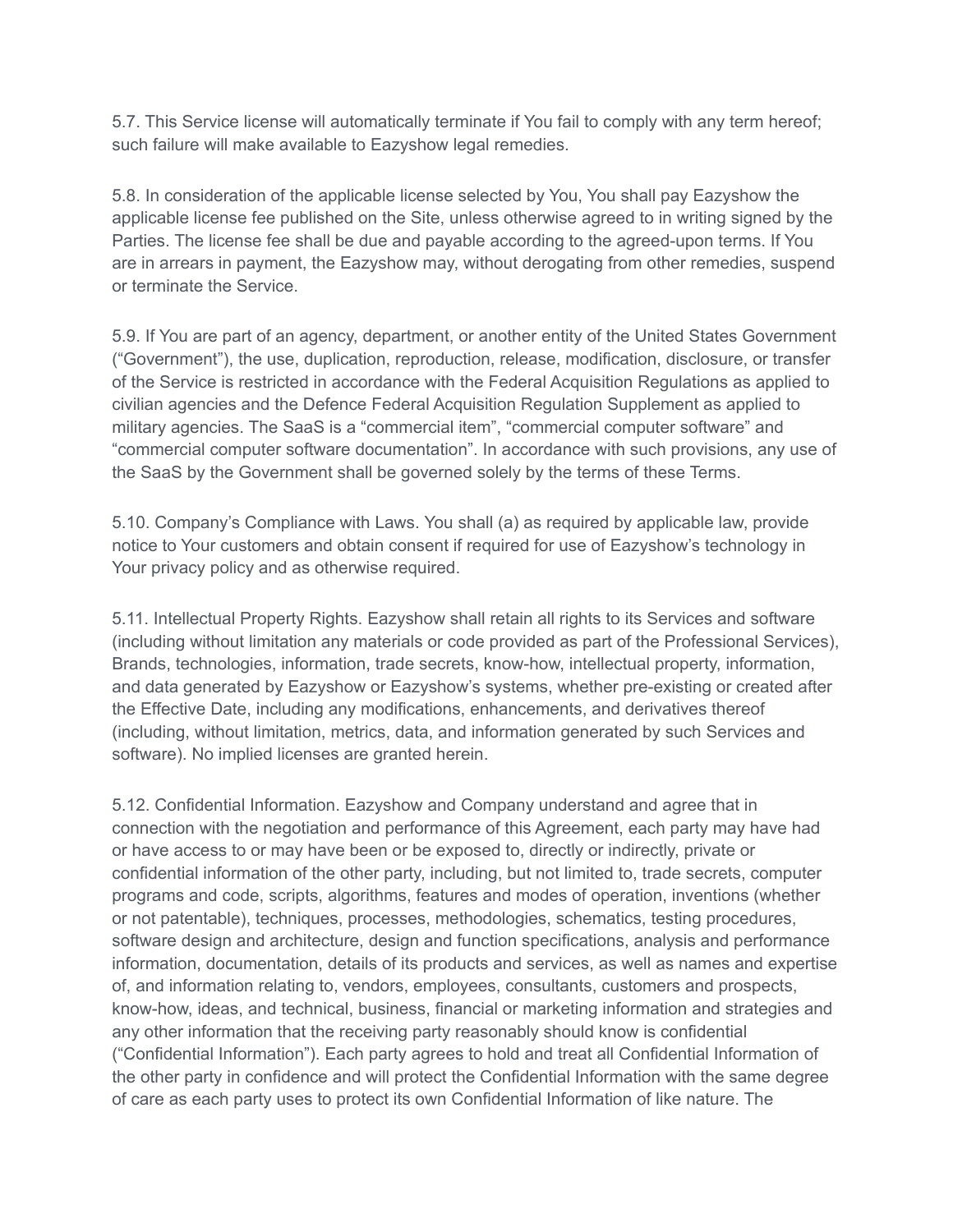5.7. This Service license will automatically terminate if You fail to comply with any term hereof; such failure will make available to Eazyshow legal remedies.

5.8. In consideration of the applicable license selected by You, You shall pay Eazyshow the applicable license fee published on the Site, unless otherwise agreed to in writing signed by the Parties. The license fee shall be due and payable according to the agreed-upon terms. If You are in arrears in payment, the Eazyshow may, without derogating from other remedies, suspend or terminate the Service.

5.9. If You are part of an agency, department, or another entity of the United States Government ("Government"), the use, duplication, reproduction, release, modification, disclosure, or transfer of the Service is restricted in accordance with the Federal Acquisition Regulations as applied to civilian agencies and the Defence Federal Acquisition Regulation Supplement as applied to military agencies. The SaaS is a "commercial item", "commercial computer software" and "commercial computer software documentation". In accordance with such provisions, any use of the SaaS by the Government shall be governed solely by the terms of these Terms.

5.10. Company's Compliance with Laws. You shall (a) as required by applicable law, provide notice to Your customers and obtain consent if required for use of Eazyshow's technology in Your privacy policy and as otherwise required.

5.11. Intellectual Property Rights. Eazyshow shall retain all rights to its Services and software (including without limitation any materials or code provided as part of the Professional Services), Brands, technologies, information, trade secrets, know-how, intellectual property, information, and data generated by Eazyshow or Eazyshow's systems, whether pre-existing or created after the Effective Date, including any modifications, enhancements, and derivatives thereof (including, without limitation, metrics, data, and information generated by such Services and software). No implied licenses are granted herein.

5.12. Confidential Information. Eazyshow and Company understand and agree that in connection with the negotiation and performance of this Agreement, each party may have had or have access to or may have been or be exposed to, directly or indirectly, private or confidential information of the other party, including, but not limited to, trade secrets, computer programs and code, scripts, algorithms, features and modes of operation, inventions (whether or not patentable), techniques, processes, methodologies, schematics, testing procedures, software design and architecture, design and function specifications, analysis and performance information, documentation, details of its products and services, as well as names and expertise of, and information relating to, vendors, employees, consultants, customers and prospects, know-how, ideas, and technical, business, financial or marketing information and strategies and any other information that the receiving party reasonably should know is confidential ("Confidential Information"). Each party agrees to hold and treat all Confidential Information of the other party in confidence and will protect the Confidential Information with the same degree of care as each party uses to protect its own Confidential Information of like nature. The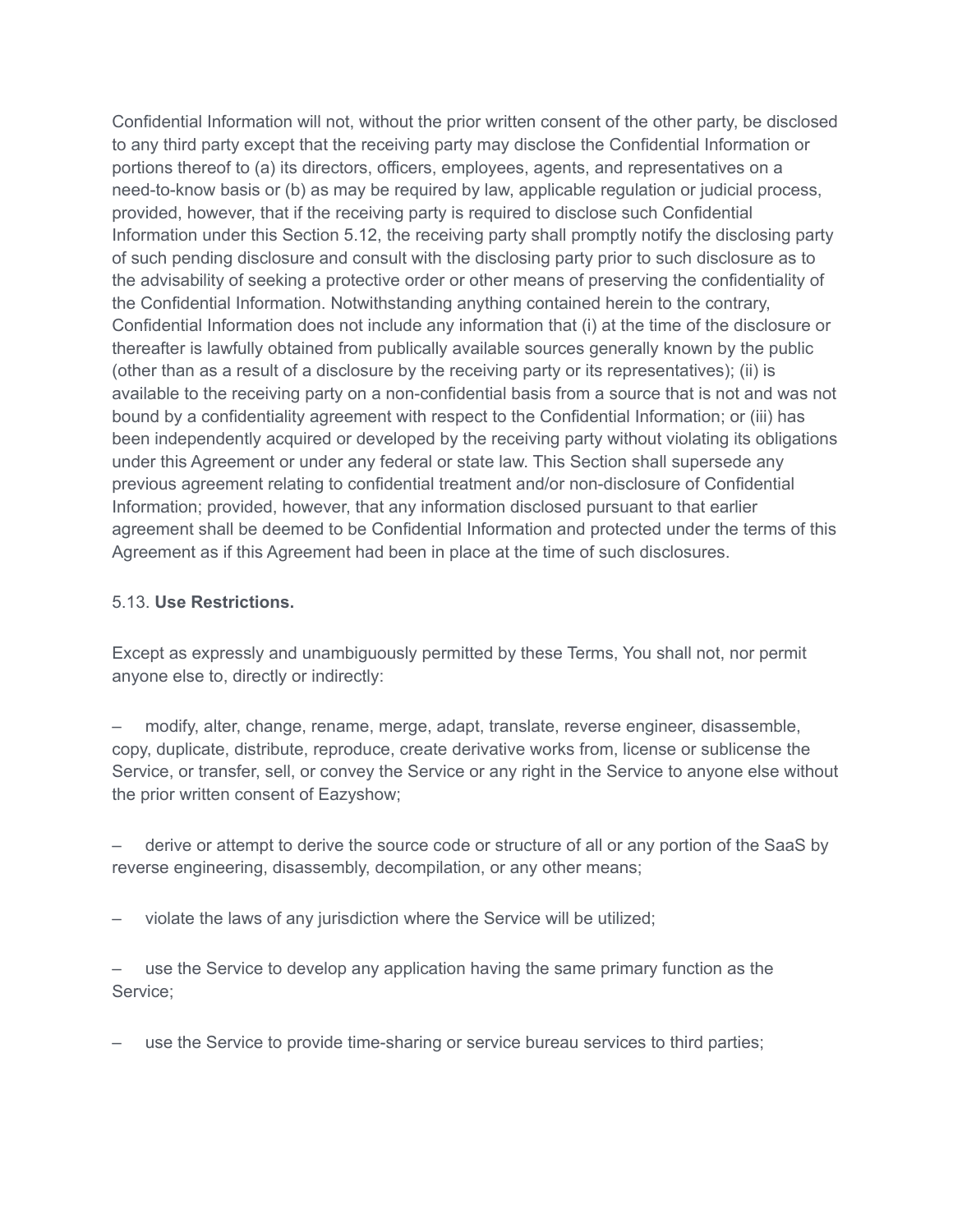Confidential Information will not, without the prior written consent of the other party, be disclosed to any third party except that the receiving party may disclose the Confidential Information or portions thereof to (a) its directors, officers, employees, agents, and representatives on a need-to-know basis or (b) as may be required by law, applicable regulation or judicial process, provided, however, that if the receiving party is required to disclose such Confidential Information under this Section 5.12, the receiving party shall promptly notify the disclosing party of such pending disclosure and consult with the disclosing party prior to such disclosure as to the advisability of seeking a protective order or other means of preserving the confidentiality of the Confidential Information. Notwithstanding anything contained herein to the contrary, Confidential Information does not include any information that (i) at the time of the disclosure or thereafter is lawfully obtained from publically available sources generally known by the public (other than as a result of a disclosure by the receiving party or its representatives); (ii) is available to the receiving party on a non-confidential basis from a source that is not and was not bound by a confidentiality agreement with respect to the Confidential Information; or (iii) has been independently acquired or developed by the receiving party without violating its obligations under this Agreement or under any federal or state law. This Section shall supersede any previous agreement relating to confidential treatment and/or non-disclosure of Confidential Information; provided, however, that any information disclosed pursuant to that earlier agreement shall be deemed to be Confidential Information and protected under the terms of this Agreement as if this Agreement had been in place at the time of such disclosures.

#### 5.13. **Use Restrictions.**

Except as expressly and unambiguously permitted by these Terms, You shall not, nor permit anyone else to, directly or indirectly:

– modify, alter, change, rename, merge, adapt, translate, reverse engineer, disassemble, copy, duplicate, distribute, reproduce, create derivative works from, license or sublicense the Service, or transfer, sell, or convey the Service or any right in the Service to anyone else without the prior written consent of Eazyshow;

– derive or attempt to derive the source code or structure of all or any portion of the SaaS by reverse engineering, disassembly, decompilation, or any other means;

– violate the laws of any jurisdiction where the Service will be utilized;

– use the Service to develop any application having the same primary function as the Service;

– use the Service to provide time-sharing or service bureau services to third parties;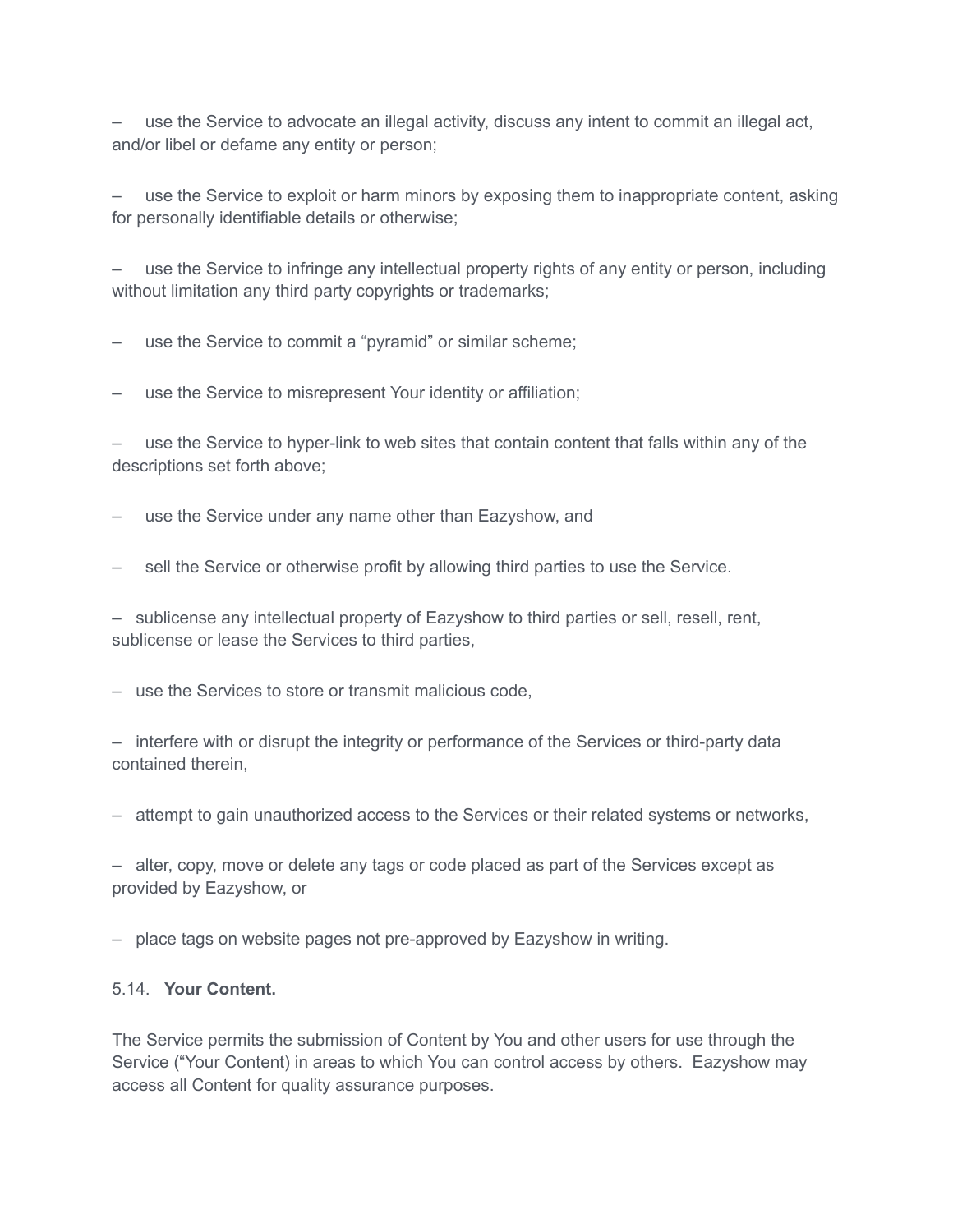– use the Service to advocate an illegal activity, discuss any intent to commit an illegal act, and/or libel or defame any entity or person;

use the Service to exploit or harm minors by exposing them to inappropriate content, asking for personally identifiable details or otherwise;

– use the Service to infringe any intellectual property rights of any entity or person, including without limitation any third party copyrights or trademarks;

use the Service to commit a "pyramid" or similar scheme;

use the Service to misrepresent Your identity or affiliation;

– use the Service to hyper-link to web sites that contain content that falls within any of the descriptions set forth above;

use the Service under any name other than Eazyshow, and

– sell the Service or otherwise profit by allowing third parties to use the Service.

– sublicense any intellectual property of Eazyshow to third parties or sell, resell, rent, sublicense or lease the Services to third parties,

– use the Services to store or transmit malicious code,

– interfere with or disrupt the integrity or performance of the Services or third-party data contained therein,

– attempt to gain unauthorized access to the Services or their related systems or networks,

– alter, copy, move or delete any tags or code placed as part of the Services except as provided by Eazyshow, or

– place tags on website pages not pre-approved by Eazyshow in writing.

#### 5.14. **Your Content.**

The Service permits the submission of Content by You and other users for use through the Service ("Your Content) in areas to which You can control access by others. Eazyshow may access all Content for quality assurance purposes.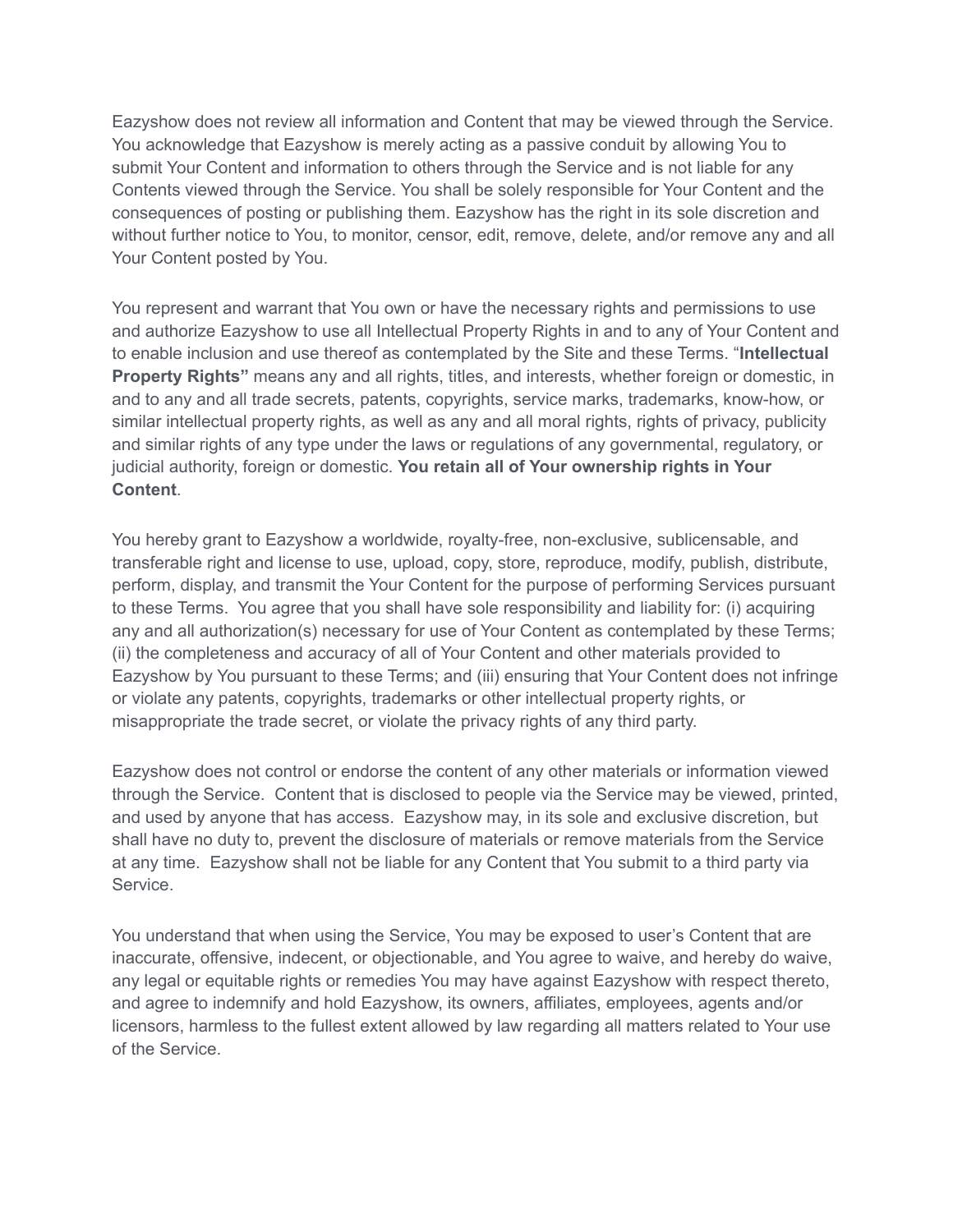Eazyshow does not review all information and Content that may be viewed through the Service. You acknowledge that Eazyshow is merely acting as a passive conduit by allowing You to submit Your Content and information to others through the Service and is not liable for any Contents viewed through the Service. You shall be solely responsible for Your Content and the consequences of posting or publishing them. Eazyshow has the right in its sole discretion and without further notice to You, to monitor, censor, edit, remove, delete, and/or remove any and all Your Content posted by You.

You represent and warrant that You own or have the necessary rights and permissions to use and authorize Eazyshow to use all Intellectual Property Rights in and to any of Your Content and to enable inclusion and use thereof as contemplated by the Site and these Terms. "**Intellectual Property Rights"** means any and all rights, titles, and interests, whether foreign or domestic, in and to any and all trade secrets, patents, copyrights, service marks, trademarks, know-how, or similar intellectual property rights, as well as any and all moral rights, rights of privacy, publicity and similar rights of any type under the laws or regulations of any governmental, regulatory, or judicial authority, foreign or domestic. **You retain all of Your ownership rights in Your Content**.

You hereby grant to Eazyshow a worldwide, royalty-free, non-exclusive, sublicensable, and transferable right and license to use, upload, copy, store, reproduce, modify, publish, distribute, perform, display, and transmit the Your Content for the purpose of performing Services pursuant to these Terms. You agree that you shall have sole responsibility and liability for: (i) acquiring any and all authorization(s) necessary for use of Your Content as contemplated by these Terms; (ii) the completeness and accuracy of all of Your Content and other materials provided to Eazyshow by You pursuant to these Terms; and (iii) ensuring that Your Content does not infringe or violate any patents, copyrights, trademarks or other intellectual property rights, or misappropriate the trade secret, or violate the privacy rights of any third party.

Eazyshow does not control or endorse the content of any other materials or information viewed through the Service. Content that is disclosed to people via the Service may be viewed, printed, and used by anyone that has access. Eazyshow may, in its sole and exclusive discretion, but shall have no duty to, prevent the disclosure of materials or remove materials from the Service at any time. Eazyshow shall not be liable for any Content that You submit to a third party via Service.

You understand that when using the Service, You may be exposed to user's Content that are inaccurate, offensive, indecent, or objectionable, and You agree to waive, and hereby do waive, any legal or equitable rights or remedies You may have against Eazyshow with respect thereto, and agree to indemnify and hold Eazyshow, its owners, affiliates, employees, agents and/or licensors, harmless to the fullest extent allowed by law regarding all matters related to Your use of the Service.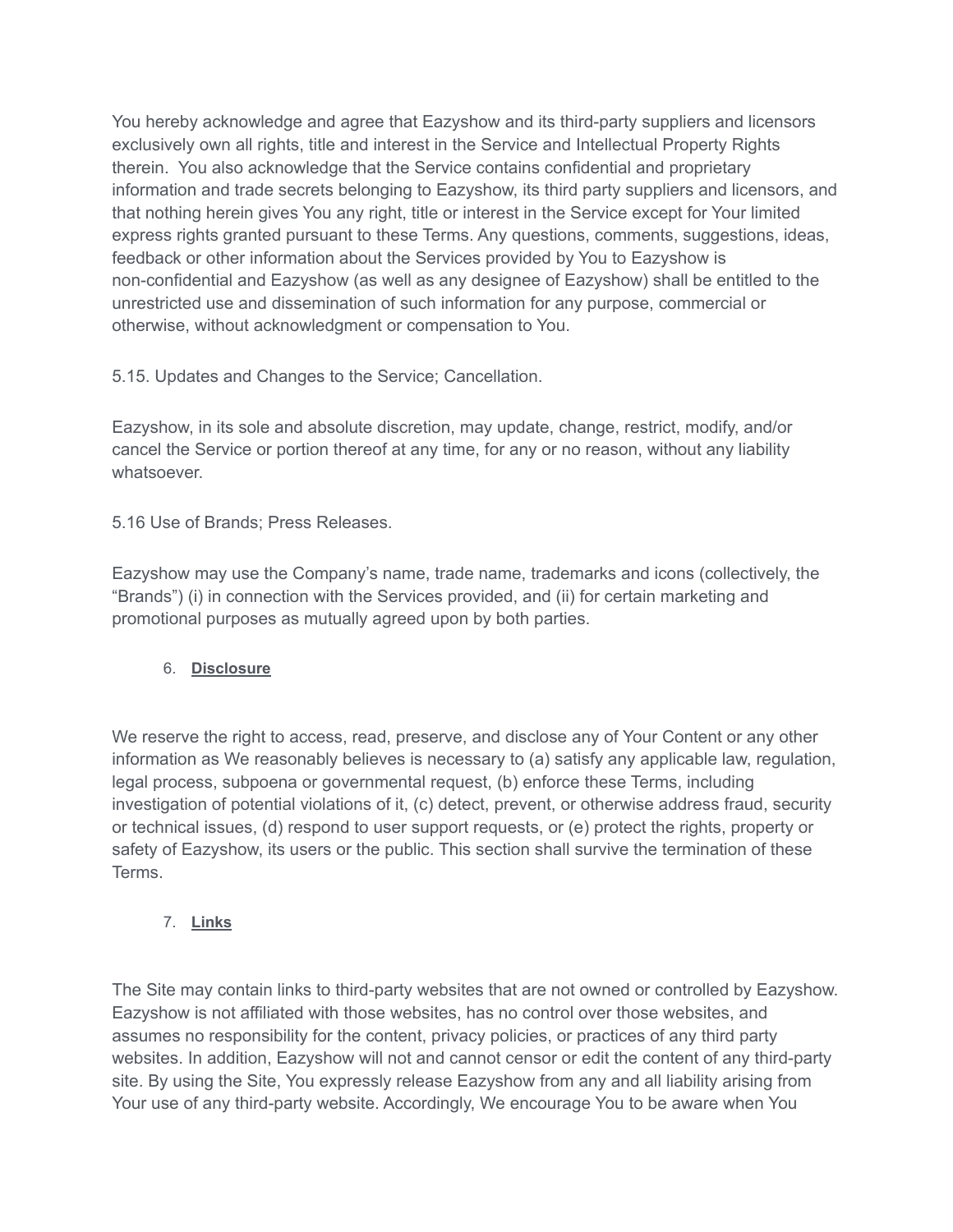You hereby acknowledge and agree that Eazyshow and its third-party suppliers and licensors exclusively own all rights, title and interest in the Service and Intellectual Property Rights therein. You also acknowledge that the Service contains confidential and proprietary information and trade secrets belonging to Eazyshow, its third party suppliers and licensors, and that nothing herein gives You any right, title or interest in the Service except for Your limited express rights granted pursuant to these Terms. Any questions, comments, suggestions, ideas, feedback or other information about the Services provided by You to Eazyshow is non-confidential and Eazyshow (as well as any designee of Eazyshow) shall be entitled to the unrestricted use and dissemination of such information for any purpose, commercial or otherwise, without acknowledgment or compensation to You.

5.15. Updates and Changes to the Service; Cancellation.

Eazyshow, in its sole and absolute discretion, may update, change, restrict, modify, and/or cancel the Service or portion thereof at any time, for any or no reason, without any liability whatsoever.

5.16 Use of Brands; Press Releases.

Eazyshow may use the Company's name, trade name, trademarks and icons (collectively, the "Brands") (i) in connection with the Services provided, and (ii) for certain marketing and promotional purposes as mutually agreed upon by both parties.

### 6. **Disclosure**

We reserve the right to access, read, preserve, and disclose any of Your Content or any other information as We reasonably believes is necessary to (a) satisfy any applicable law, regulation, legal process, subpoena or governmental request, (b) enforce these Terms, including investigation of potential violations of it, (c) detect, prevent, or otherwise address fraud, security or technical issues, (d) respond to user support requests, or (e) protect the rights, property or safety of Eazyshow, its users or the public. This section shall survive the termination of these Terms.

7. **Links**

The Site may contain links to third-party websites that are not owned or controlled by Eazyshow. Eazyshow is not affiliated with those websites, has no control over those websites, and assumes no responsibility for the content, privacy policies, or practices of any third party websites. In addition, Eazyshow will not and cannot censor or edit the content of any third-party site. By using the Site, You expressly release Eazyshow from any and all liability arising from Your use of any third-party website. Accordingly, We encourage You to be aware when You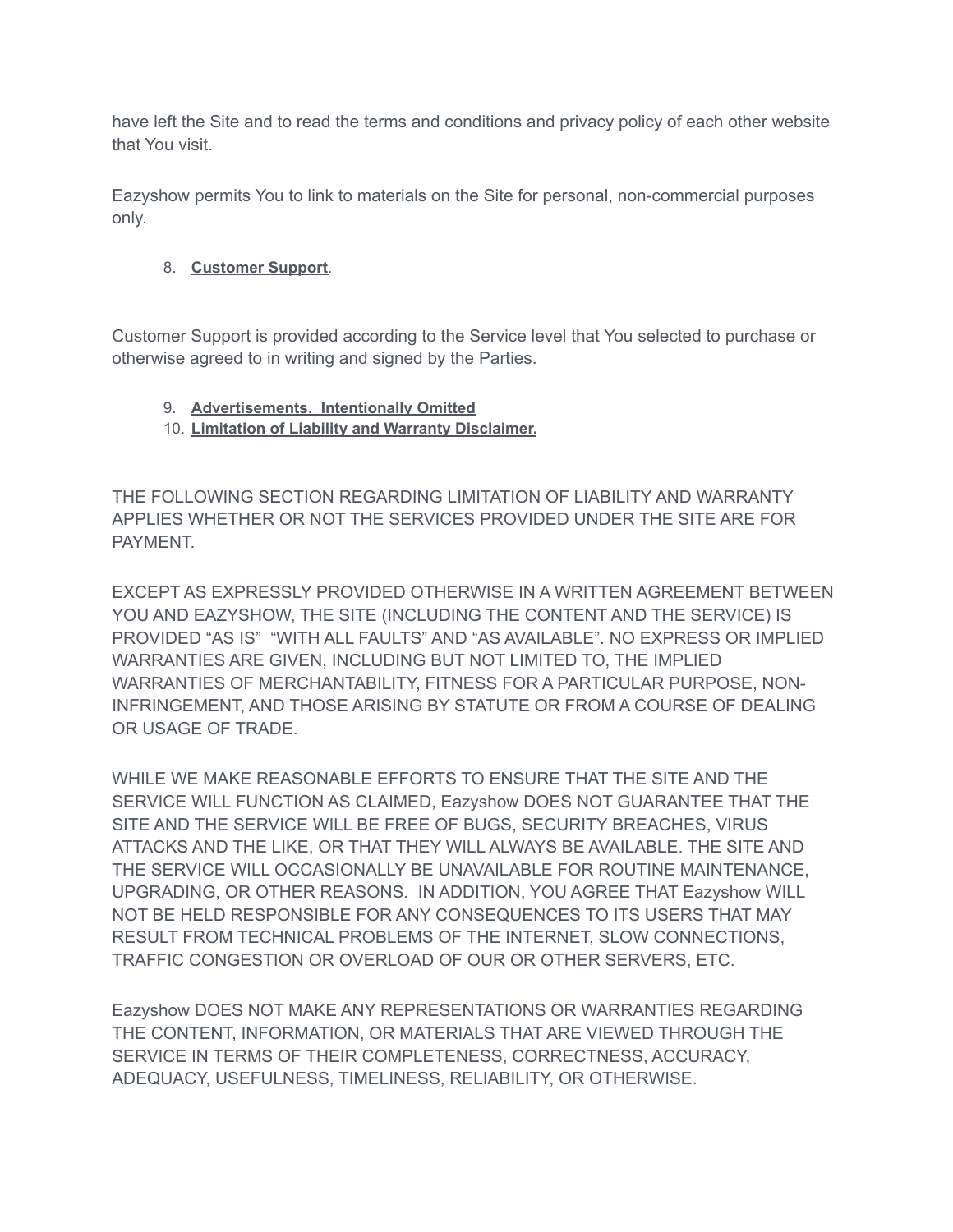have left the Site and to read the terms and conditions and privacy policy of each other website that You visit.

Eazyshow permits You to link to materials on the Site for personal, non-commercial purposes only.

# 8. **Customer Support**.

Customer Support is provided according to the Service level that You selected to purchase or otherwise agreed to in writing and signed by the Parties.

### 9. **Advertisements. Intentionally Omitted**

10. **Limitation of Liability and Warranty Disclaimer.**

THE FOLLOWING SECTION REGARDING LIMITATION OF LIABILITY AND WARRANTY APPLIES WHETHER OR NOT THE SERVICES PROVIDED UNDER THE SITE ARE FOR PAYMENT.

EXCEPT AS EXPRESSLY PROVIDED OTHERWISE IN A WRITTEN AGREEMENT BETWEEN YOU AND EAZYSHOW, THE SITE (INCLUDING THE CONTENT AND THE SERVICE) IS PROVIDED "AS IS" "WITH ALL FAULTS" AND "AS AVAILABLE". NO EXPRESS OR IMPLIED WARRANTIES ARE GIVEN, INCLUDING BUT NOT LIMITED TO, THE IMPLIED WARRANTIES OF MERCHANTABILITY, FITNESS FOR A PARTICULAR PURPOSE, NON-INFRINGEMENT, AND THOSE ARISING BY STATUTE OR FROM A COURSE OF DEALING OR USAGE OF TRADE.

WHILE WE MAKE REASONABLE EFFORTS TO ENSURE THAT THE SITE AND THE SERVICE WILL FUNCTION AS CLAIMED, Eazyshow DOES NOT GUARANTEE THAT THE SITE AND THE SERVICE WILL BE FREE OF BUGS, SECURITY BREACHES, VIRUS ATTACKS AND THE LIKE, OR THAT THEY WILL ALWAYS BE AVAILABLE. THE SITE AND THE SERVICE WILL OCCASIONALLY BE UNAVAILABLE FOR ROUTINE MAINTENANCE, UPGRADING, OR OTHER REASONS. IN ADDITION, YOU AGREE THAT Eazyshow WILL NOT BE HELD RESPONSIBLE FOR ANY CONSEQUENCES TO ITS USERS THAT MAY RESULT FROM TECHNICAL PROBLEMS OF THE INTERNET, SLOW CONNECTIONS, TRAFFIC CONGESTION OR OVERLOAD OF OUR OR OTHER SERVERS, ETC.

Eazyshow DOES NOT MAKE ANY REPRESENTATIONS OR WARRANTIES REGARDING THE CONTENT, INFORMATION, OR MATERIALS THAT ARE VIEWED THROUGH THE SERVICE IN TERMS OF THEIR COMPLETENESS, CORRECTNESS, ACCURACY, ADEQUACY, USEFULNESS, TIMELINESS, RELIABILITY, OR OTHERWISE.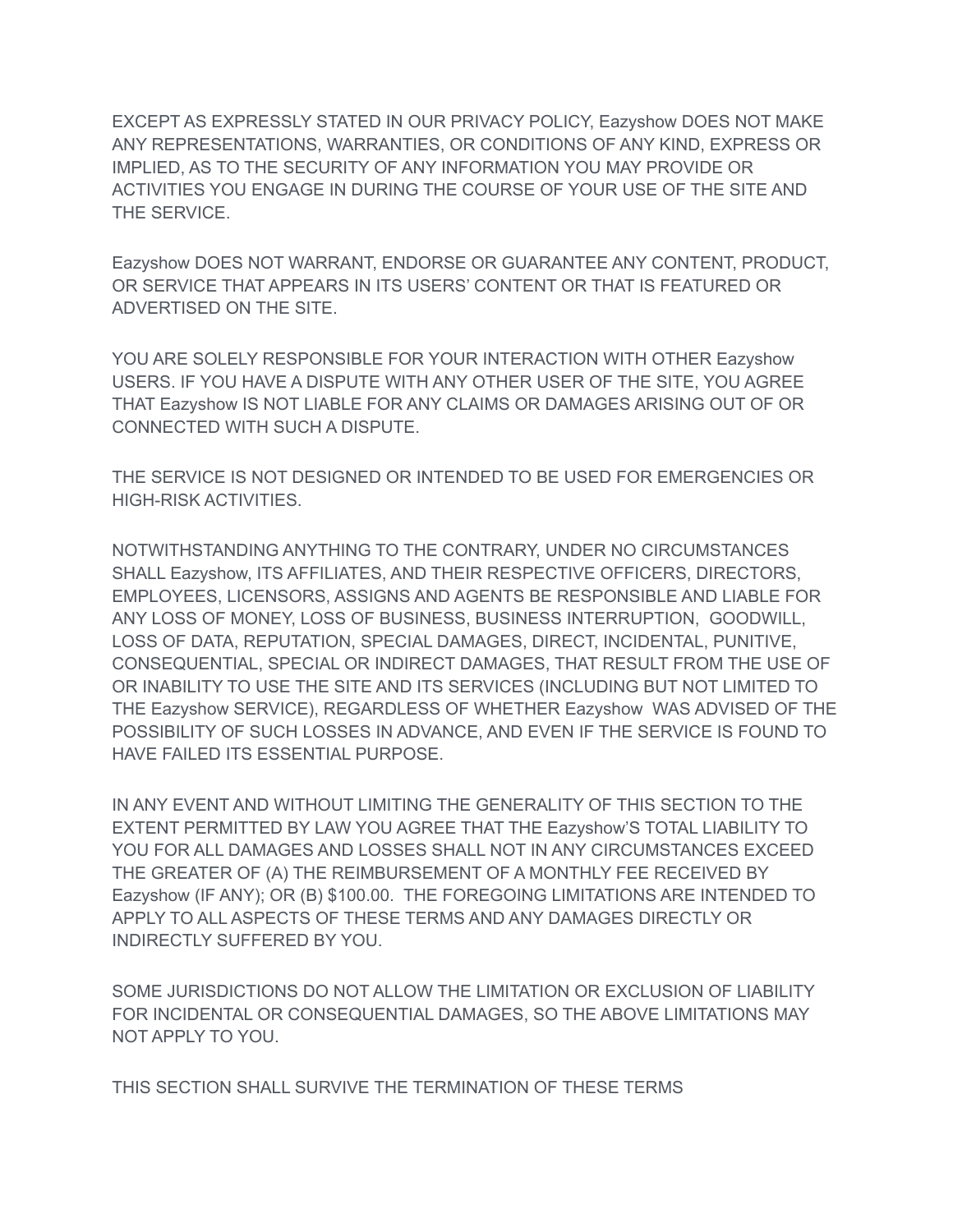EXCEPT AS EXPRESSLY STATED IN OUR PRIVACY POLICY, Eazyshow DOES NOT MAKE ANY REPRESENTATIONS, WARRANTIES, OR CONDITIONS OF ANY KIND, EXPRESS OR IMPLIED, AS TO THE SECURITY OF ANY INFORMATION YOU MAY PROVIDE OR ACTIVITIES YOU ENGAGE IN DURING THE COURSE OF YOUR USE OF THE SITE AND THE SERVICE.

Eazyshow DOES NOT WARRANT, ENDORSE OR GUARANTEE ANY CONTENT, PRODUCT, OR SERVICE THAT APPEARS IN ITS USERS' CONTENT OR THAT IS FEATURED OR ADVERTISED ON THE SITE.

YOU ARE SOLELY RESPONSIBLE FOR YOUR INTERACTION WITH OTHER Eazyshow USERS. IF YOU HAVE A DISPUTE WITH ANY OTHER USER OF THE SITE, YOU AGREE THAT Eazyshow IS NOT LIABLE FOR ANY CLAIMS OR DAMAGES ARISING OUT OF OR CONNECTED WITH SUCH A DISPUTE.

THE SERVICE IS NOT DESIGNED OR INTENDED TO BE USED FOR EMERGENCIES OR HIGH-RISK ACTIVITIES.

NOTWITHSTANDING ANYTHING TO THE CONTRARY, UNDER NO CIRCUMSTANCES SHALL Eazyshow, ITS AFFILIATES, AND THEIR RESPECTIVE OFFICERS, DIRECTORS, EMPLOYEES, LICENSORS, ASSIGNS AND AGENTS BE RESPONSIBLE AND LIABLE FOR ANY LOSS OF MONEY, LOSS OF BUSINESS, BUSINESS INTERRUPTION, GOODWILL, LOSS OF DATA, REPUTATION, SPECIAL DAMAGES, DIRECT, INCIDENTAL, PUNITIVE, CONSEQUENTIAL, SPECIAL OR INDIRECT DAMAGES, THAT RESULT FROM THE USE OF OR INABILITY TO USE THE SITE AND ITS SERVICES (INCLUDING BUT NOT LIMITED TO THE Eazyshow SERVICE), REGARDLESS OF WHETHER Eazyshow WAS ADVISED OF THE POSSIBILITY OF SUCH LOSSES IN ADVANCE, AND EVEN IF THE SERVICE IS FOUND TO HAVE FAILED ITS ESSENTIAL PURPOSE.

IN ANY EVENT AND WITHOUT LIMITING THE GENERALITY OF THIS SECTION TO THE EXTENT PERMITTED BY LAW YOU AGREE THAT THE Eazyshow'S TOTAL LIABILITY TO YOU FOR ALL DAMAGES AND LOSSES SHALL NOT IN ANY CIRCUMSTANCES EXCEED THE GREATER OF (A) THE REIMBURSEMENT OF A MONTHLY FEE RECEIVED BY Eazyshow (IF ANY); OR (B) \$100.00. THE FOREGOING LIMITATIONS ARE INTENDED TO APPLY TO ALL ASPECTS OF THESE TERMS AND ANY DAMAGES DIRECTLY OR INDIRECTLY SUFFERED BY YOU.

SOME JURISDICTIONS DO NOT ALLOW THE LIMITATION OR EXCLUSION OF LIABILITY FOR INCIDENTAL OR CONSEQUENTIAL DAMAGES, SO THE ABOVE LIMITATIONS MAY NOT APPLY TO YOU.

THIS SECTION SHALL SURVIVE THE TERMINATION OF THESE TERMS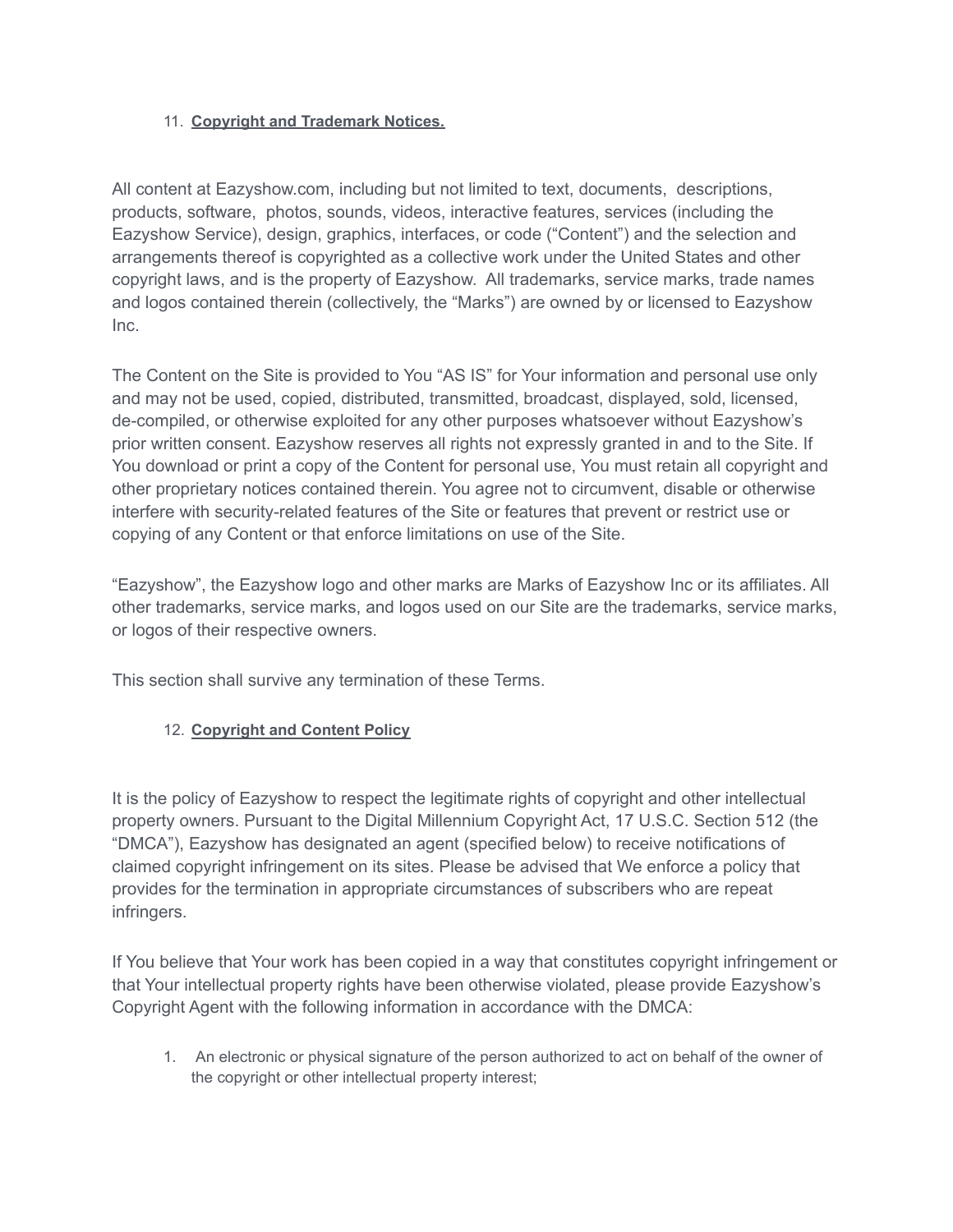#### 11. **Copyright and Trademark Notices.**

All content at Eazyshow.com, including but not limited to text, documents, descriptions, products, software, photos, sounds, videos, interactive features, services (including the Eazyshow Service), design, graphics, interfaces, or code ("Content") and the selection and arrangements thereof is copyrighted as a collective work under the United States and other copyright laws, and is the property of Eazyshow. All trademarks, service marks, trade names and logos contained therein (collectively, the "Marks") are owned by or licensed to Eazyshow Inc.

The Content on the Site is provided to You "AS IS" for Your information and personal use only and may not be used, copied, distributed, transmitted, broadcast, displayed, sold, licensed, de-compiled, or otherwise exploited for any other purposes whatsoever without Eazyshow's prior written consent. Eazyshow reserves all rights not expressly granted in and to the Site. If You download or print a copy of the Content for personal use, You must retain all copyright and other proprietary notices contained therein. You agree not to circumvent, disable or otherwise interfere with security-related features of the Site or features that prevent or restrict use or copying of any Content or that enforce limitations on use of the Site.

"Eazyshow", the Eazyshow logo and other marks are Marks of Eazyshow Inc or its affiliates. All other trademarks, service marks, and logos used on our Site are the trademarks, service marks, or logos of their respective owners.

This section shall survive any termination of these Terms.

### 12. **Copyright and Content Policy**

It is the policy of Eazyshow to respect the legitimate rights of copyright and other intellectual property owners. Pursuant to the Digital Millennium Copyright Act, 17 U.S.C. Section 512 (the "DMCA"), Eazyshow has designated an agent (specified below) to receive notifications of claimed copyright infringement on its sites. Please be advised that We enforce a policy that provides for the termination in appropriate circumstances of subscribers who are repeat infringers.

If You believe that Your work has been copied in a way that constitutes copyright infringement or that Your intellectual property rights have been otherwise violated, please provide Eazyshow's Copyright Agent with the following information in accordance with the DMCA:

1. An electronic or physical signature of the person authorized to act on behalf of the owner of the copyright or other intellectual property interest;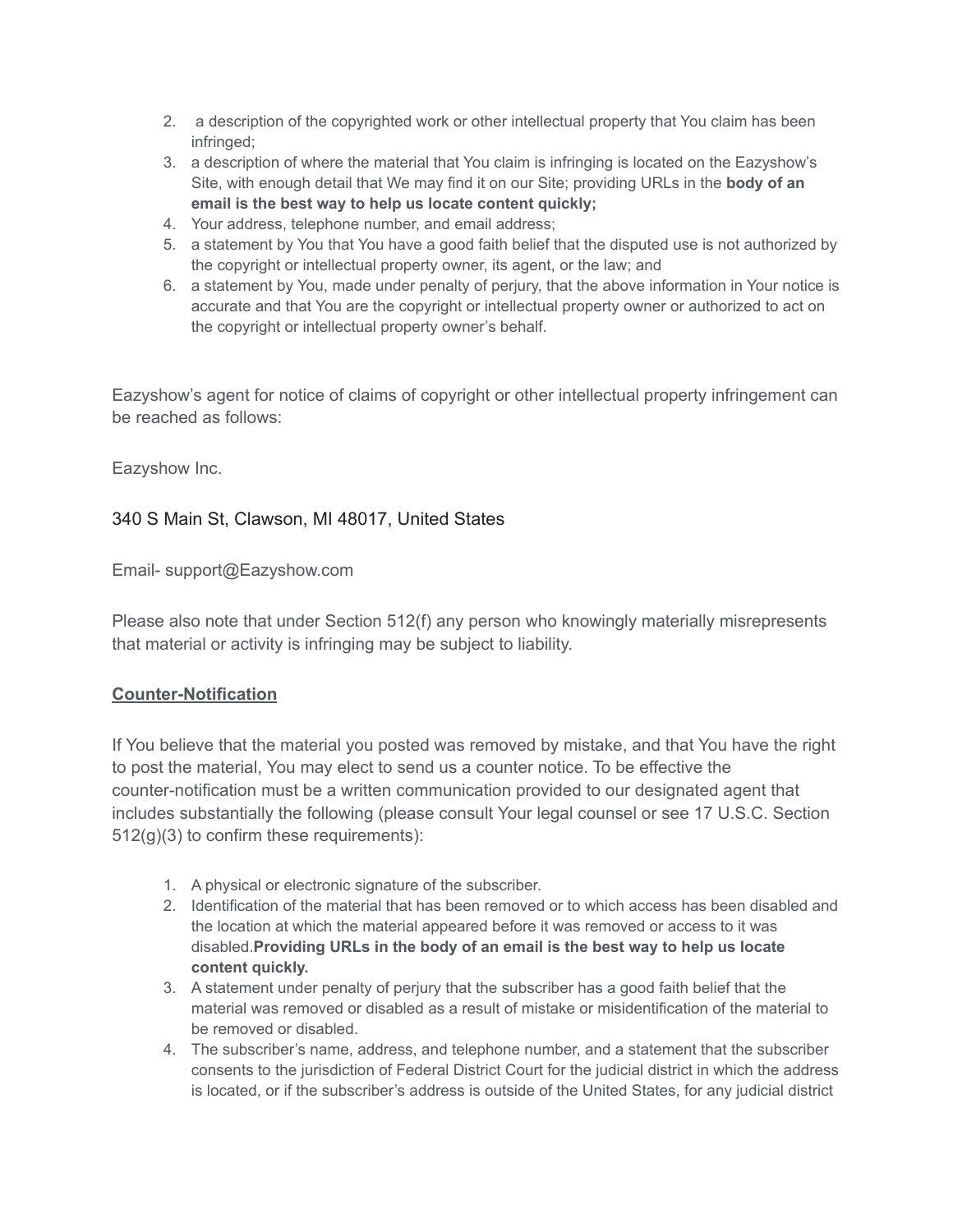- 2. a description of the copyrighted work or other intellectual property that You claim has been infringed;
- 3. a description of where the material that You claim is infringing is located on the Eazyshow's Site, with enough detail that We may find it on our Site; providing URLs in the **body of an email is the best way to help us locate content quickly;**
- 4. Your address, telephone number, and email address;
- 5. a statement by You that You have a good faith belief that the disputed use is not authorized by the copyright or intellectual property owner, its agent, or the law; and
- 6. a statement by You, made under penalty of perjury, that the above information in Your notice is accurate and that You are the copyright or intellectual property owner or authorized to act on the copyright or intellectual property owner's behalf.

Eazyshow's agent for notice of claims of copyright or other intellectual property infringement can be reached as follows:

Eazyshow Inc.

### 340 S Main St, Clawson, MI 48017, United States

Email- support@Eazyshow.com

Please also note that under Section 512(f) any person who knowingly materially misrepresents that material or activity is infringing may be subject to liability.

### **Counter-Notification**

If You believe that the material you posted was removed by mistake, and that You have the right to post the material, You may elect to send us a counter notice. To be effective the counter-notification must be a written communication provided to our designated agent that includes substantially the following (please consult Your legal counsel or see 17 U.S.C. Section 512(g)(3) to confirm these requirements):

- 1. A physical or electronic signature of the subscriber.
- 2. Identification of the material that has been removed or to which access has been disabled and the location at which the material appeared before it was removed or access to it was disabled.**Providing URLs in the body of an email is the best way to help us locate content quickly.**
- 3. A statement under penalty of perjury that the subscriber has a good faith belief that the material was removed or disabled as a result of mistake or misidentification of the material to be removed or disabled.
- 4. The subscriber's name, address, and telephone number, and a statement that the subscriber consents to the jurisdiction of Federal District Court for the judicial district in which the address is located, or if the subscriber's address is outside of the United States, for any judicial district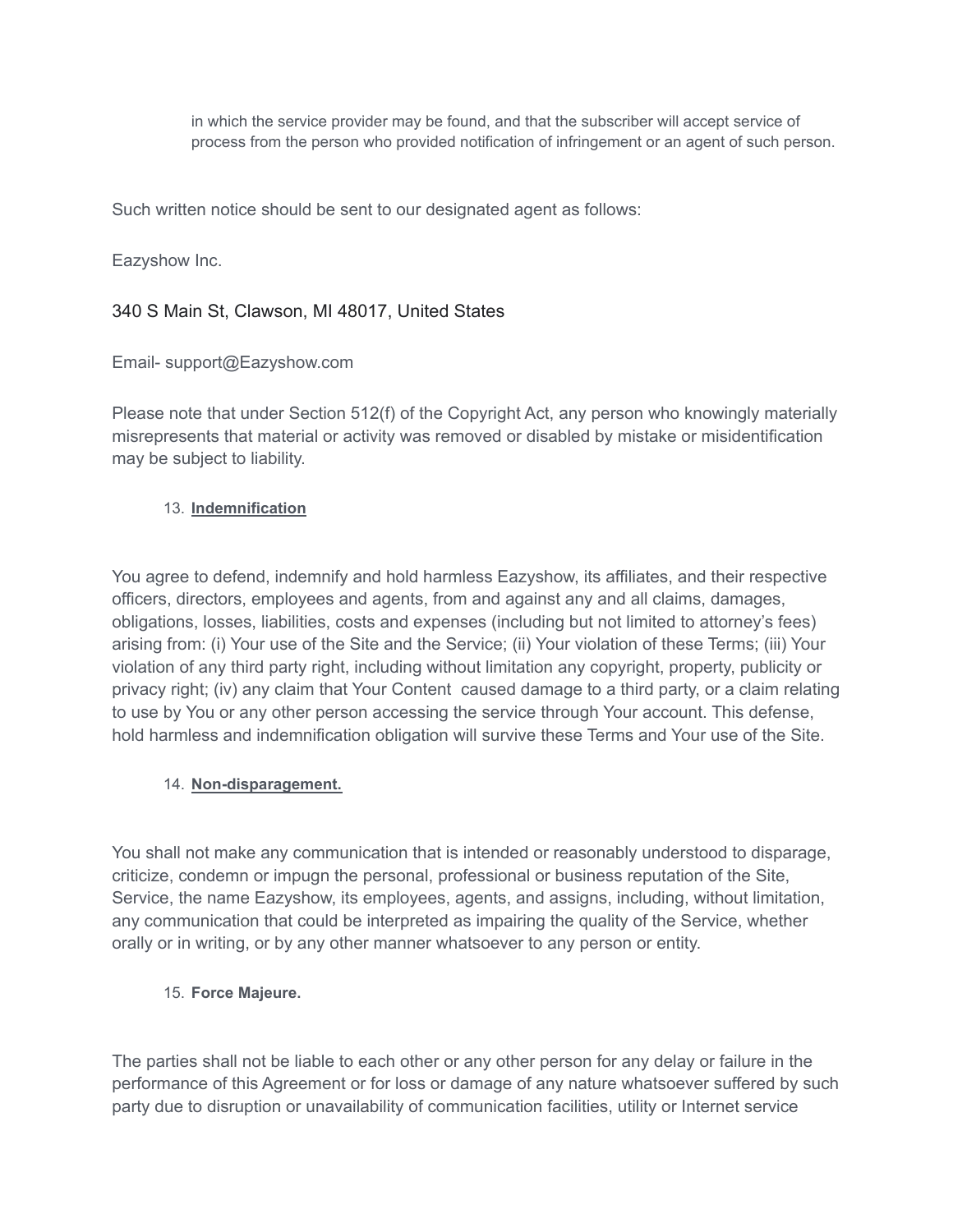in which the service provider may be found, and that the subscriber will accept service of process from the person who provided notification of infringement or an agent of such person.

Such written notice should be sent to our designated agent as follows:

Eazyshow Inc.

## 340 S Main St, Clawson, MI 48017, United States

Email- support@Eazyshow.com

Please note that under Section 512(f) of the Copyright Act, any person who knowingly materially misrepresents that material or activity was removed or disabled by mistake or misidentification may be subject to liability.

### 13. **Indemnification**

You agree to defend, indemnify and hold harmless Eazyshow, its affiliates, and their respective officers, directors, employees and agents, from and against any and all claims, damages, obligations, losses, liabilities, costs and expenses (including but not limited to attorney's fees) arising from: (i) Your use of the Site and the Service; (ii) Your violation of these Terms; (iii) Your violation of any third party right, including without limitation any copyright, property, publicity or privacy right; (iv) any claim that Your Content caused damage to a third party, or a claim relating to use by You or any other person accessing the service through Your account. This defense, hold harmless and indemnification obligation will survive these Terms and Your use of the Site.

### 14. **Non-disparagement.**

You shall not make any communication that is intended or reasonably understood to disparage, criticize, condemn or impugn the personal, professional or business reputation of the Site, Service, the name Eazyshow, its employees, agents, and assigns, including, without limitation, any communication that could be interpreted as impairing the quality of the Service, whether orally or in writing, or by any other manner whatsoever to any person or entity.

### 15. **Force Majeure.**

The parties shall not be liable to each other or any other person for any delay or failure in the performance of this Agreement or for loss or damage of any nature whatsoever suffered by such party due to disruption or unavailability of communication facilities, utility or Internet service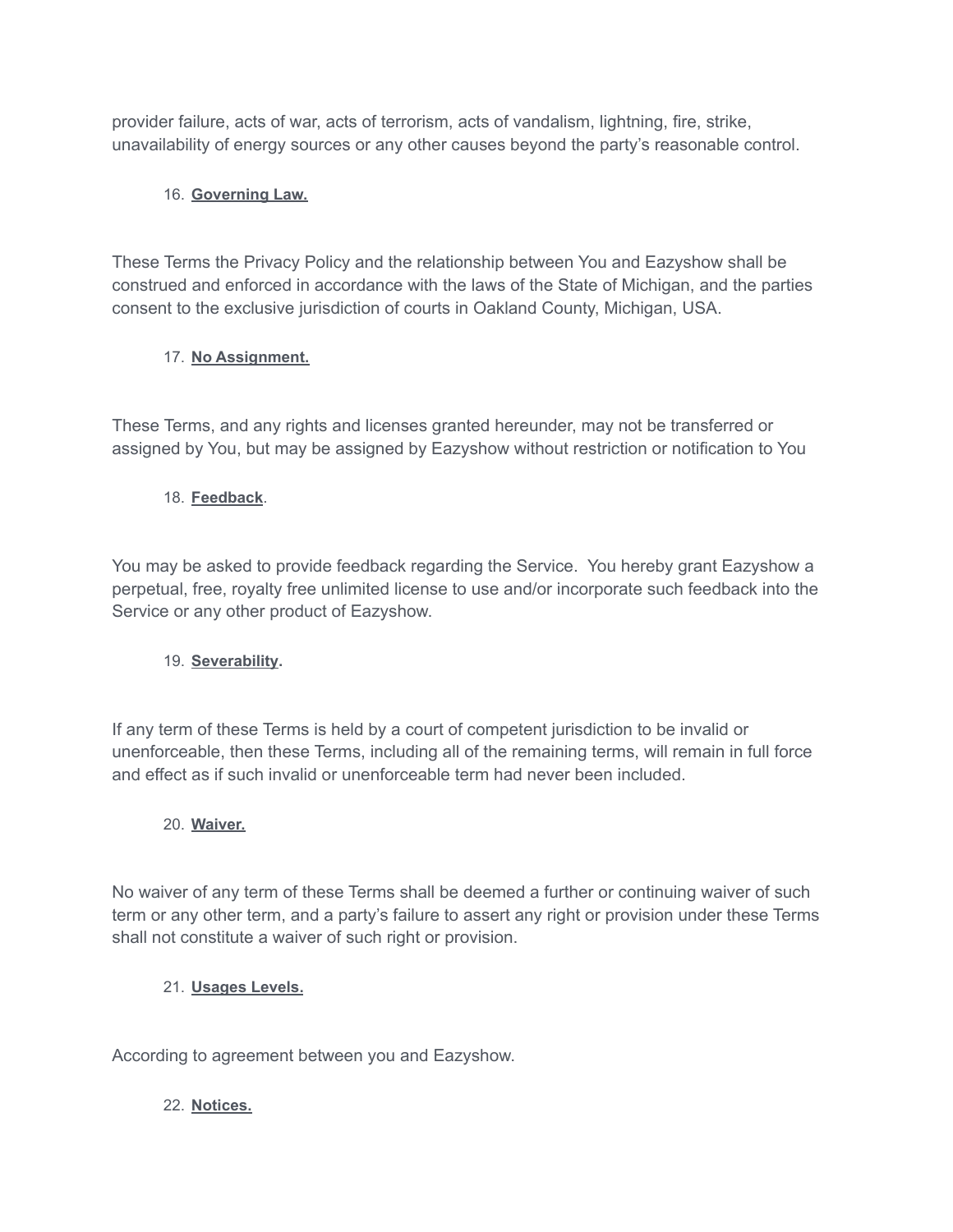provider failure, acts of war, acts of terrorism, acts of vandalism, lightning, fire, strike, unavailability of energy sources or any other causes beyond the party's reasonable control.

# 16. **Governing Law.**

These Terms the Privacy Policy and the relationship between You and Eazyshow shall be construed and enforced in accordance with the laws of the State of Michigan, and the parties consent to the exclusive jurisdiction of courts in Oakland County, Michigan, USA.

# 17. **No Assignment.**

These Terms, and any rights and licenses granted hereunder, may not be transferred or assigned by You, but may be assigned by Eazyshow without restriction or notification to You

# 18. **Feedback**.

You may be asked to provide feedback regarding the Service. You hereby grant Eazyshow a perpetual, free, royalty free unlimited license to use and/or incorporate such feedback into the Service or any other product of Eazyshow.

# 19. **Severability.**

If any term of these Terms is held by a court of competent jurisdiction to be invalid or unenforceable, then these Terms, including all of the remaining terms, will remain in full force and effect as if such invalid or unenforceable term had never been included.

### 20. **Waiver.**

No waiver of any term of these Terms shall be deemed a further or continuing waiver of such term or any other term, and a party's failure to assert any right or provision under these Terms shall not constitute a waiver of such right or provision.

### 21. **Usages Levels.**

According to agreement between you and Eazyshow.

### 22. **Notices.**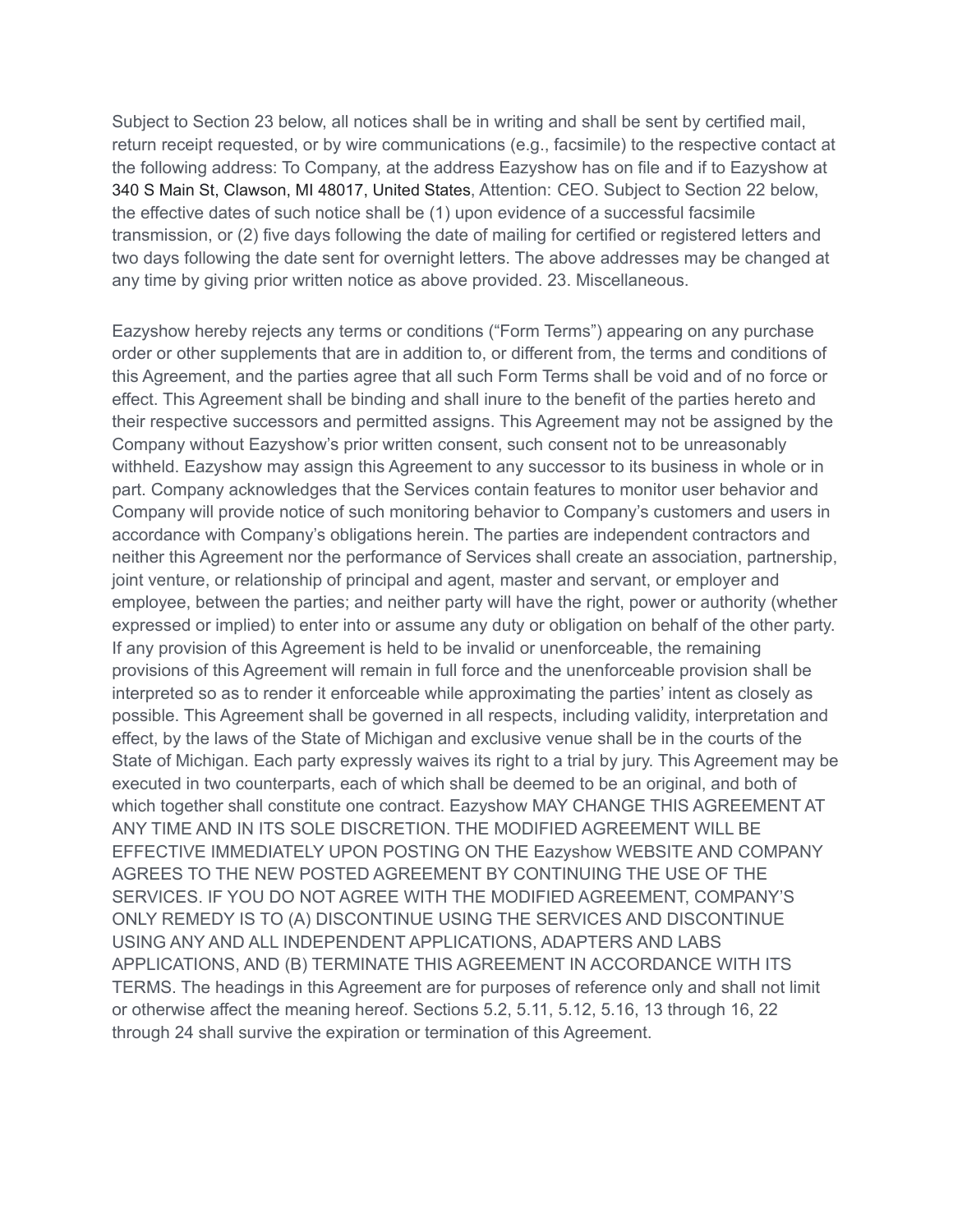Subject to Section 23 below, all notices shall be in writing and shall be sent by certified mail, return receipt requested, or by wire communications (e.g., facsimile) to the respective contact at the following address: To Company, at the address Eazyshow has on file and if to Eazyshow at 340 S Main St, Clawson, MI 48017, United States, Attention: CEO. Subject to Section 22 below, the effective dates of such notice shall be (1) upon evidence of a successful facsimile transmission, or (2) five days following the date of mailing for certified or registered letters and two days following the date sent for overnight letters. The above addresses may be changed at any time by giving prior written notice as above provided. 23. Miscellaneous.

Eazyshow hereby rejects any terms or conditions ("Form Terms") appearing on any purchase order or other supplements that are in addition to, or different from, the terms and conditions of this Agreement, and the parties agree that all such Form Terms shall be void and of no force or effect. This Agreement shall be binding and shall inure to the benefit of the parties hereto and their respective successors and permitted assigns. This Agreement may not be assigned by the Company without Eazyshow's prior written consent, such consent not to be unreasonably withheld. Eazyshow may assign this Agreement to any successor to its business in whole or in part. Company acknowledges that the Services contain features to monitor user behavior and Company will provide notice of such monitoring behavior to Company's customers and users in accordance with Company's obligations herein. The parties are independent contractors and neither this Agreement nor the performance of Services shall create an association, partnership, joint venture, or relationship of principal and agent, master and servant, or employer and employee, between the parties; and neither party will have the right, power or authority (whether expressed or implied) to enter into or assume any duty or obligation on behalf of the other party. If any provision of this Agreement is held to be invalid or unenforceable, the remaining provisions of this Agreement will remain in full force and the unenforceable provision shall be interpreted so as to render it enforceable while approximating the parties' intent as closely as possible. This Agreement shall be governed in all respects, including validity, interpretation and effect, by the laws of the State of Michigan and exclusive venue shall be in the courts of the State of Michigan. Each party expressly waives its right to a trial by jury. This Agreement may be executed in two counterparts, each of which shall be deemed to be an original, and both of which together shall constitute one contract. Eazyshow MAY CHANGE THIS AGREEMENT AT ANY TIME AND IN ITS SOLE DISCRETION. THE MODIFIED AGREEMENT WILL BE EFFECTIVE IMMEDIATELY UPON POSTING ON THE Eazyshow WEBSITE AND COMPANY AGREES TO THE NEW POSTED AGREEMENT BY CONTINUING THE USE OF THE SERVICES. IF YOU DO NOT AGREE WITH THE MODIFIED AGREEMENT, COMPANY'S ONLY REMEDY IS TO (A) DISCONTINUE USING THE SERVICES AND DISCONTINUE USING ANY AND ALL INDEPENDENT APPLICATIONS, ADAPTERS AND LABS APPLICATIONS, AND (B) TERMINATE THIS AGREEMENT IN ACCORDANCE WITH ITS TERMS. The headings in this Agreement are for purposes of reference only and shall not limit or otherwise affect the meaning hereof. Sections 5.2, 5.11, 5.12, 5.16, 13 through 16, 22 through 24 shall survive the expiration or termination of this Agreement.